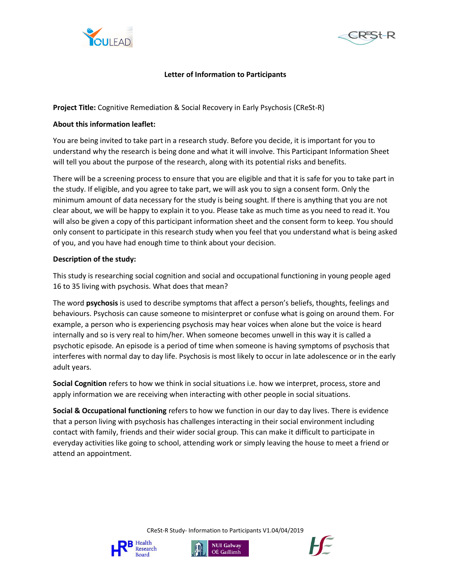



## **Letter of Information to Participants**

**Project Title:** Cognitive Remediation & Social Recovery in Early Psychosis (CReSt-R)

## **About this information leaflet:**

You are being invited to take part in a research study. Before you decide, it is important for you to understand why the research is being done and what it will involve. This Participant Information Sheet will tell you about the purpose of the research, along with its potential risks and benefits.

There will be a screening process to ensure that you are eligible and that it is safe for you to take part in the study. If eligible, and you agree to take part, we will ask you to sign a consent form. Only the minimum amount of data necessary for the study is being sought. If there is anything that you are not clear about, we will be happy to explain it to you. Please take as much time as you need to read it. You will also be given a copy of this participant information sheet and the consent form to keep. You should only consent to participate in this research study when you feel that you understand what is being asked of you, and you have had enough time to think about your decision.

## **Description of the study:**

This study is researching social cognition and social and occupational functioning in young people aged 16 to 35 living with psychosis. What does that mean?

The word **psychosis** is used to describe symptoms that affect a person's beliefs, thoughts, feelings and behaviours. Psychosis can cause someone to misinterpret or confuse what is going on around them. For example, a person who is experiencing psychosis may hear voices when alone but the voice is heard internally and so is very real to him/her. When someone becomes unwell in this way it is called a psychotic episode. An episode is a period of time when someone is having symptoms of psychosis that interferes with normal day to day life. Psychosis is most likely to occur in late adolescence or in the early adult years.

**Social Cognition** refers to how we think in social situations i.e. how we interpret, process, store and apply information we are receiving when interacting with other people in social situations.

**Social & Occupational functioning** refers to how we function in our day to day lives. There is evidence that a person living with psychosis has challenges interacting in their social environment including contact with family, friends and their wider social group. This can make it difficult to participate in everyday activities like going to school, attending work or simply leaving the house to meet a friend or attend an appointment.

CReSt-R Study- Information to Participants V1.04/04/2019





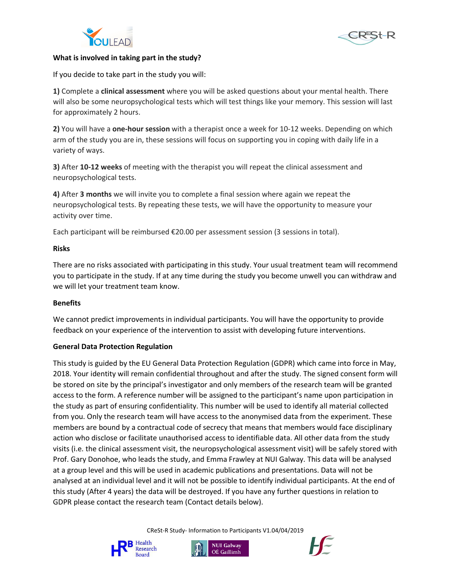



#### **What is involved in taking part in the study?**

If you decide to take part in the study you will:

**1)** Complete a **clinical assessment** where you will be asked questions about your mental health. There will also be some neuropsychological tests which will test things like your memory. This session will last for approximately 2 hours.

**2)** You will have a **one-hour session** with a therapist once a week for 10-12 weeks. Depending on which arm of the study you are in, these sessions will focus on supporting you in coping with daily life in a variety of ways.

**3)** After **10-12 weeks** of meeting with the therapist you will repeat the clinical assessment and neuropsychological tests.

**4)** After **3 months** we will invite you to complete a final session where again we repeat the neuropsychological tests. By repeating these tests, we will have the opportunity to measure your activity over time.

Each participant will be reimbursed €20.00 per assessment session (3 sessions in total).

## **Risks**

There are no risks associated with participating in this study. Your usual treatment team will recommend you to participate in the study. If at any time during the study you become unwell you can withdraw and we will let your treatment team know.

## **Benefits**

We cannot predict improvements in individual participants. You will have the opportunity to provide feedback on your experience of the intervention to assist with developing future interventions.

## **General Data Protection Regulation**

This study is guided by the EU General Data Protection Regulation (GDPR) which came into force in May, 2018. Your identity will remain confidential throughout and after the study. The signed consent form will be stored on site by the principal's investigator and only members of the research team will be granted access to the form. A reference number will be assigned to the participant's name upon participation in the study as part of ensuring confidentiality. This number will be used to identify all material collected from you. Only the research team will have access to the anonymised data from the experiment. These members are bound by a contractual code of secrecy that means that members would face disciplinary action who disclose or facilitate unauthorised access to identifiable data. All other data from the study visits (i.e. the clinical assessment visit, the neuropsychological assessment visit) will be safely stored with Prof. Gary Donohoe, who leads the study, and Emma Frawley at NUI Galway. This data will be analysed at a group level and this will be used in academic publications and presentations. Data will not be analysed at an individual level and it will not be possible to identify individual participants. At the end of this study (After 4 years) the data will be destroyed. If you have any further questions in relation to GDPR please contact the research team (Contact details below).

CReSt-R Study- Information to Participants V1.04/04/2019